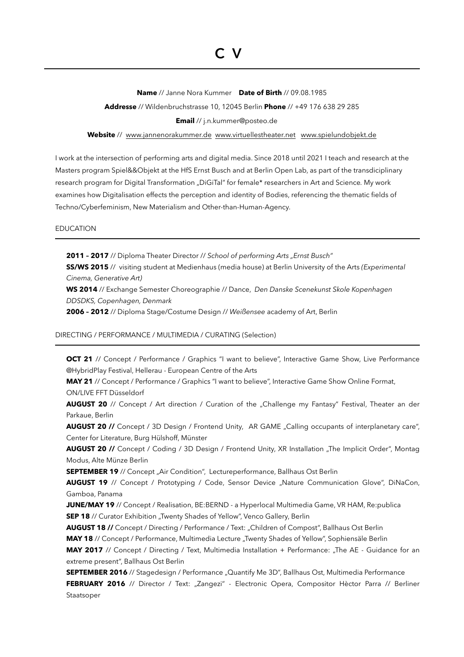**Name** // Janne Nora Kummer **Date of Birth** // 09.08.1985

**Addresse** // Wildenbruchstrasse 10, 12045 Berlin **Phone** // +49 176 638 29 285

**Email** // j.n.kummer@posteo.de

## **Website** // [www.jannenorakummer.de](http://www.jannenorakummer.de) [www.virtuellestheater.net](http://www.virtuellestheater.net)[www.spielundobjekt.de](http://www.spielundobjekt.de)

I work at the intersection of performing arts and digital media. Since 2018 until 2021 I teach and research at the Masters program Spiel&&Objekt at the HfS Ernst Busch and at Berlin Open Lab, as part of the transdiciplinary research program for Digital Transformation "DiGiTal" for female\* researchers in Art and Science*.* My work examines how Digitalisation effects the perception and identity of Bodies, referencing the thematic fields of Techno/Cyberfeminism, New Materialism and Other-than-Human-Agency.

EDUCATION

2011 - 2017 // Diploma Theater Director // School of performing Arts "Ernst Busch"

**SS/WS 2015** // visiting student at Medienhaus (media house) at Berlin University of the Arts *(Experimental Cinema, Generative Art)*

**WS 2014** // Exchange Semester Choreographie // Dance, *Den Danske Scenekunst Skole Kopenhagen DDSDKS, Copenhagen, Denmark*

**2006 – 2012** // Diploma Stage/Costume Design // *Weißensee* academy of Art, Berlin

## DIRECTING / PERFORMANCE / MULTIMEDIA / CURATING (Selection)

**OCT 21** // Concept / Performance / Graphics "I want to believe", Interactive Game Show, Live Performance @HybridPlay Festival, Hellerau - European Centre of the Arts

**MAY 21** // Concept / Performance / Graphics "I want to believe", Interactive Game Show Online Format, ON/LIVE FFT Düsseldorf

**AUGUST 20** // Concept / Art direction / Curation of the "Challenge my Fantasy" Festival, Theater an der Parkaue, Berlin

AUGUST 20 // Concept / 3D Design / Frontend Unity, AR GAME "Calling occupants of interplanetary care", Center for Literature, Burg Hülshoff, Münster

**AUGUST 20 //** Concept / Coding / 3D Design / Frontend Unity, XR Installation "The Implicit Order", Montag Modus, Alte Münze Berlin

**SEPTEMBER 19** // Concept "Air Condition", Lectureperformance, Ballhaus Ost Berlin

AUGUST 19 // Concept / Prototyping / Code, Sensor Device "Nature Communication Glove", DiNaCon, Gamboa, Panama

**JUNE/MAY 19** // Concept / Realisation, BE:BERND - a Hyperlocal Multimedia Game, VR HAM, Re:publica **SEP 18** // Curator Exhibition "Twenty Shades of Yellow", Venco Gallery, Berlin

**AUGUST 18 //** Concept / Directing / Performance / Text: "Children of Compost", Ballhaus Ost Berlin

**MAY 18** // Concept / Performance, Multimedia Lecture "Twenty Shades of Yellow", Sophiensäle Berlin

**MAY 2017** // Concept / Directing / Text, Multimedia Installation + Performance: "The AE - Guidance for an extreme present", Ballhaus Ost Berlin

**SEPTEMBER 2016** // Stagedesign / Performance "Quantify Me 3D", Ballhaus Ost, Multimedia Performance FEBRUARY 2016 // Director / Text: "Zangezi" - Electronic Opera, Compositor Hèctor Parra // Berliner Staatsoper